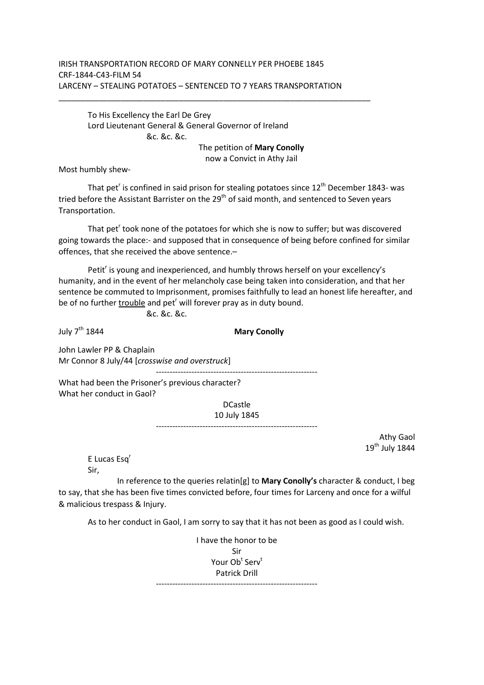## IRISH TRANSPORTATION RECORD OF MARY CONNELLY PER PHOEBE 1845 CRF-1844-C43-FILM 54 LARCENY – STEALING POTATOES – SENTENCED TO 7 YEARS TRANSPORTATION

To His Excellency the Earl De Grey Lord Lieutenant General & General Governor of Ireland &c. &c. &c.

The petition of **Mary Conolly**

now a Convict in Athy Jail

Most humbly shew-

That pet<sup>r</sup> is confined in said prison for stealing potatoes since  $12<sup>th</sup>$  December 1843- was tried before the Assistant Barrister on the  $29<sup>th</sup>$  of said month, and sentenced to Seven years Transportation.

That pet<sup>r</sup> took none of the potatoes for which she is now to suffer; but was discovered going towards the place:- and supposed that in consequence of being before confined for similar offences, that she received the above sentence.–

Petit<sup>r</sup> is young and inexperienced, and humbly throws herself on your excellency's humanity, and in the event of her melancholy case being taken into consideration, and that her sentence be commuted to Imprisonment, promises faithfully to lead an honest life hereafter, and be of no further *trouble* and pet<sup>r</sup> will forever pray as in duty bound.

&c. &c. &c.

July 7th 1844 **Mary Conolly**  John Lawler PP & Chaplain Mr Connor 8 July/44 [*crosswise and overstruck*] ----------------------------------------------------------- What had been the Prisoner's previous character? What her conduct in Gaol? DCastle 10 July 1845 -----------------------------------------------------------

> Athy Gaol  $19<sup>th</sup>$  July 1844

E Lucas Esq<sup>r</sup> Sir,

 In reference to the queries relatin[g] to **Mary Conolly's** character & conduct, I beg to say, that she has been five times convicted before, four times for Larceny and once for a wilful & malicious trespass & Injury.

As to her conduct in Gaol, I am sorry to say that it has not been as good as I could wish.

I have the honor to be Sir Your Ob $^{\rm t}$  Serv $^{\rm t}$ Patrick Drill -----------------------------------------------------------